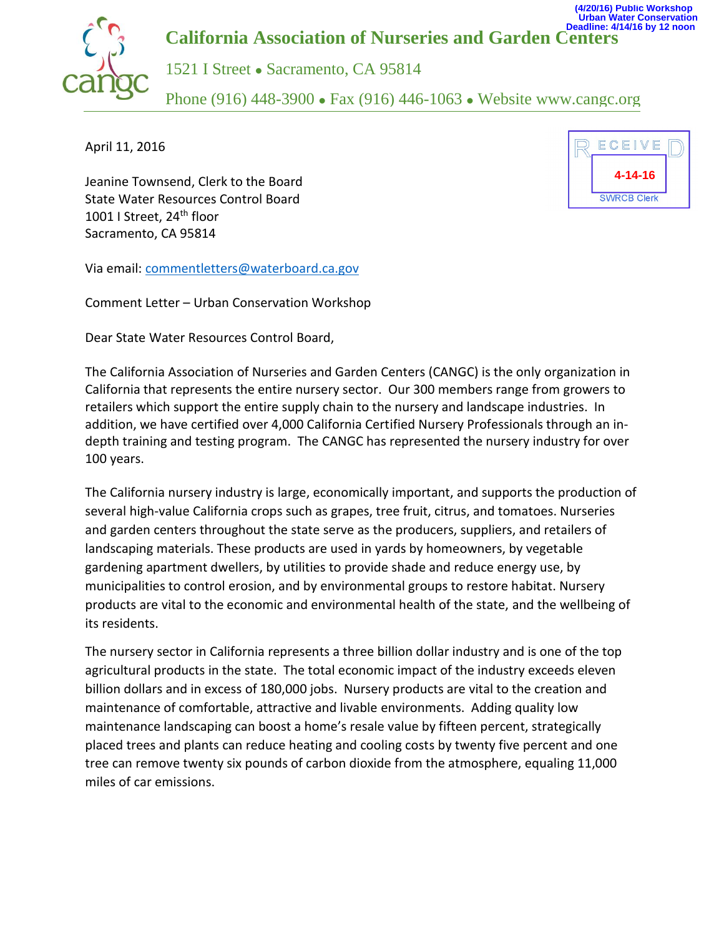

April 11, 2016

Jeanine Townsend, Clerk to the Board State Water Resources Control Board 1001 I Street, 24<sup>th</sup> floor Sacramento, CA 95814



Via email: [commentletters@waterboard.ca.gov](mailto:commentletters@waterboard.ca.gov)

Comment Letter – Urban Conservation Workshop

Dear State Water Resources Control Board,

The California Association of Nurseries and Garden Centers (CANGC) is the only organization in California that represents the entire nursery sector. Our 300 members range from growers to retailers which support the entire supply chain to the nursery and landscape industries. In addition, we have certified over 4,000 California Certified Nursery Professionals through an indepth training and testing program. The CANGC has represented the nursery industry for over 100 years.

The California nursery industry is large, economically important, and supports the production of several high-value California crops such as grapes, tree fruit, citrus, and tomatoes. Nurseries and garden centers throughout the state serve as the producers, suppliers, and retailers of landscaping materials. These products are used in yards by homeowners, by vegetable gardening apartment dwellers, by utilities to provide shade and reduce energy use, by municipalities to control erosion, and by environmental groups to restore habitat. Nursery products are vital to the economic and environmental health of the state, and the wellbeing of its residents.

The nursery sector in California represents a three billion dollar industry and is one of the top agricultural products in the state. The total economic impact of the industry exceeds eleven billion dollars and in excess of 180,000 jobs. Nursery products are vital to the creation and maintenance of comfortable, attractive and livable environments. Adding quality low maintenance landscaping can boost a home's resale value by fifteen percent, strategically placed trees and plants can reduce heating and cooling costs by twenty five percent and one tree can remove twenty six pounds of carbon dioxide from the atmosphere, equaling 11,000 miles of car emissions.